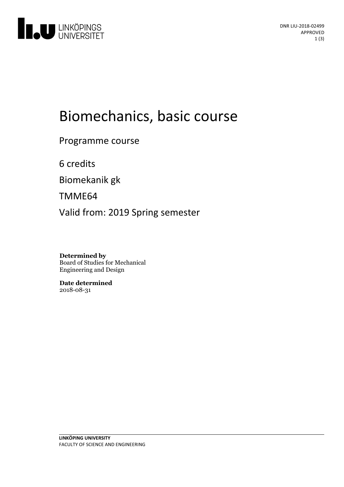

# Biomechanics, basic course

Programme course

6 credits

Biomekanik gk

TMME64

Valid from: 2019 Spring semester

**Determined by** Board of Studies for Mechanical Engineering and Design

**Date determined** 2018-08-31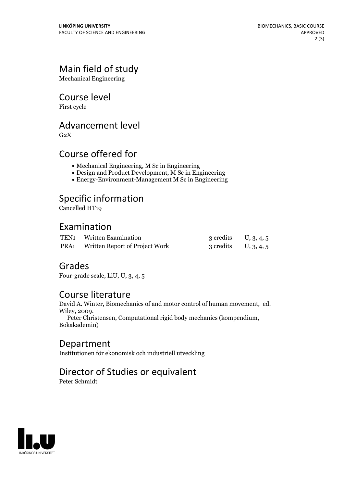# Main field of study

Mechanical Engineering

#### Course level

First cycle

## Advancement level

 $G<sub>2</sub>X$ 

## Course offered for

- Mechanical Engineering, M Sc in Engineering
- Design and Product Development, M Sc in Engineering
- Energy-Environment-Management M Sc in Engineering

# Specific information

Cancelled HT19

## Examination

| TEN1 Written Examination                   | 3 credits $U, 3, 4, 5$ |  |
|--------------------------------------------|------------------------|--|
| <b>PRA1</b> Written Report of Project Work | 3 credits $U, 3, 4, 5$ |  |

## Grades

Four-grade scale, LiU, U, 3, 4, 5

#### Course literature

David A. Winter, Biomechanics of and motor control of human movement, ed. Wiley, 2009. Peter Christensen, Computational rigid body mechanics (kompendium, Bokakademin)

#### Department

Institutionen för ekonomisk och industriell utveckling

# Director of Studies or equivalent

Peter Schmidt